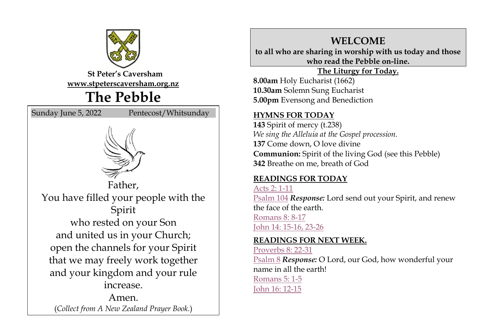

**St Peter's Caversham [www.stpeterscaversham.org.nz](http://www.stpeterscaversham.org.nz/)**

## **The Pebble**

Sunday June 5, 2022 Pentecost/Whitsunday





Father, You have filled your people with the Spirit who rested on your Son and united us in your Church; open the channels for your Spirit that we may freely work together and your kingdom and your rule increase.

Amen. (*Collect from A New Zealand Prayer Book.*)

## **WELCOME**

**to all who are sharing in worship with us today and those who read the Pebble on-line.**

#### **The Liturgy for Today.**

**8.00am** Holy Eucharist (1662) **10.30am** Solemn Sung Eucharist **5.00pm** Evensong and Benediction

#### **HYMNS FOR TODAY**

**143** Spirit of mercy (t.238) *We sing the Alleluia at the Gospel procession.* **137** Come down, O love divine **Communion:** Spirit of the living God (see this Pebble) **342** Breathe on me, breath of God

#### **READINGS FOR TODAY**

[Acts 2: 1-11](http://www.biblegateway.com/passage/index.php?search=Acts%202:%201-11;&version=9;&interface=print) [Psalm 104](http://www.biblegateway.com/passage/index.php?search=Psalm%20104;&version=9;&interface=print) *Response:* Lord send out your Spirit, and renew the face of the earth.

[Romans 8: 8-17](http://www.biblegateway.com/passage/index.php?search=Romans%208:%208-17;&version=9;&interface=print) [John 14: 15-16, 23-26](http://www.biblegateway.com/passage/index.php?search=John%2014:%2015-16,%2023-26;&version=9;&interface=print)

#### **READINGS FOR NEXT WEEK.**

[Proverbs 8: 22-31](http://www.biblegateway.com/passage/index.php?search=Proverbs%208:%2022-31;&version=9;&interface=print) [Psalm 8](http://www.biblegateway.com/passage/index.php?search=Psalm%208;&version=9;&interface=print) *Response:* O Lord, our God, how wonderful your name in all the earth! [Romans 5: 1-5](http://www.biblegateway.com/passage/index.php?search=Romans%205:%201-5;&version=9;&interface=print) [John 16: 12-15](http://www.biblegateway.com/passage/index.php?search=John%2016:%2012-15;&version=9;&interface=print)